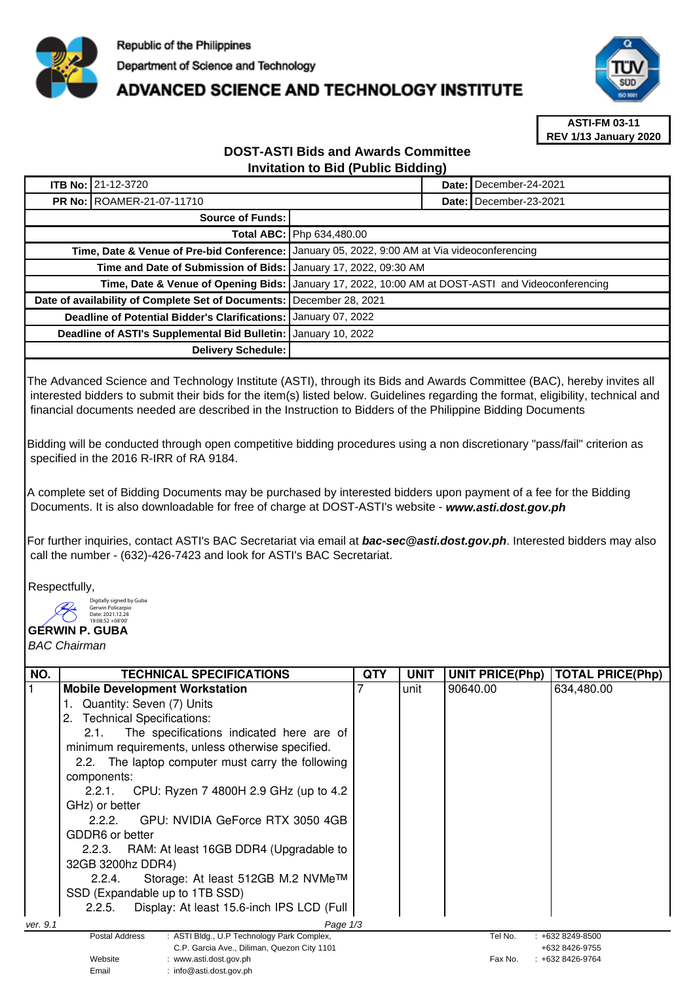

## **ADVANCED SCIENCE AND TECHNOLOGY INSTITUTE**



**ASTI-FM 03-11 REV 1/13 January 2020**

## **DOST-ASTI Bids and Awards Committee Invitation to Bid (Public Bidding)**

|                                                    | <b>ITB No: 21-12-3720</b>                                         |                                                               |  | Date: December-24-2021   |
|----------------------------------------------------|-------------------------------------------------------------------|---------------------------------------------------------------|--|--------------------------|
|                                                    | <b>PR No: ROAMER-21-07-11710</b>                                  |                                                               |  | Date: I December-23-2021 |
| Source of Funds:                                   |                                                                   |                                                               |  |                          |
|                                                    |                                                                   | <b>Total ABC:   Php 634,480.00</b>                            |  |                          |
|                                                    | Time, Date & Venue of Pre-bid Conference:                         | January 05, 2022, 9:00 AM at Via videoconferencing            |  |                          |
|                                                    | Time and Date of Submission of Bids:   January 17, 2022, 09:30 AM |                                                               |  |                          |
| Time, Date & Venue of Opening Bids:                |                                                                   | January 17, 2022, 10:00 AM at DOST-ASTI and Videoconferencing |  |                          |
| Date of availability of Complete Set of Documents: |                                                                   | December 28, 2021                                             |  |                          |
| Deadline of Potential Bidder's Clarifications:     |                                                                   | January 07, 2022                                              |  |                          |
|                                                    | Deadline of ASTI's Supplemental Bid Bulletin:                     | January 10, 2022                                              |  |                          |
|                                                    | Delivery Schedule:                                                |                                                               |  |                          |

The Advanced Science and Technology Institute (ASTI), through its Bids and Awards Committee (BAC), hereby invites all interested bidders to submit their bids for the item(s) listed below. Guidelines regarding the format, eligibility, technical and financial documents needed are described in the Instruction to Bidders of the Philippine Bidding Documents

Bidding will be conducted through open competitive bidding procedures using a non discretionary "pass/fail" criterion as specified in the 2016 R-IRR of RA 9184.

A complete set of Bidding Documents may be purchased by interested bidders upon payment of a fee for the Bidding Documents. It is also downloadable for free of charge at DOST-ASTI's website - **www.asti.dost.gov.ph**

For further inquiries, contact ASTI's BAC Secretariat via email at **bac-sec@asti.dost.gov.ph**. Interested bidders may also call the number - (632)-426-7423 and look for ASTI's BAC Secretariat.

Respectfully,

Digitally signed by Guba orgram*y o*rg<br>Gerwin Pol



BAC Chairman

| NO.      | <b>TECHNICAL SPECIFICATIONS</b>                                             | <b>QTY</b> | <b>UNIT</b> | <b>UNIT PRICE(Php)</b> | <b>TOTAL PRICE(Php)</b> |
|----------|-----------------------------------------------------------------------------|------------|-------------|------------------------|-------------------------|
|          | <b>Mobile Development Workstation</b>                                       |            | unit        | 90640.00               | 634,480.00              |
|          | Quantity: Seven (7) Units                                                   |            |             |                        |                         |
|          | <b>Technical Specifications:</b><br>2.                                      |            |             |                        |                         |
|          | The specifications indicated here are of<br>2.1.                            |            |             |                        |                         |
|          | minimum requirements, unless otherwise specified.                           |            |             |                        |                         |
|          | 2.2. The laptop computer must carry the following                           |            |             |                        |                         |
|          | components:                                                                 |            |             |                        |                         |
|          | 2.2.1. CPU: Ryzen 7 4800H 2.9 GHz (up to 4.2                                |            |             |                        |                         |
|          | GHz) or better                                                              |            |             |                        |                         |
|          | GPU: NVIDIA GeForce RTX 3050 4GB<br>2.2.2.                                  |            |             |                        |                         |
|          | GDDR6 or better                                                             |            |             |                        |                         |
|          | 2.2.3. RAM: At least 16GB DDR4 (Upgradable to                               |            |             |                        |                         |
|          | 32GB 3200hz DDR4)                                                           |            |             |                        |                         |
|          | Storage: At least 512GB M.2 NVMe™<br>2.2.4.                                 |            |             |                        |                         |
|          | SSD (Expandable up to 1TB SSD)                                              |            |             |                        |                         |
|          | Display: At least 15.6-inch IPS LCD (Full<br>2.2.5.                         |            |             |                        |                         |
| ver. 9.1 | Page $1/3$                                                                  |            |             |                        |                         |
|          | : ASTI Bldg., U.P Technology Park Complex,<br>Postal Address                |            |             | Tel No.                | $: +6328249 - 8500$     |
|          | C.P. Garcia Ave., Diliman, Quezon City 1101                                 |            |             |                        | +632 8426-9755          |
|          | Website<br>: www.asti.dost.gov.ph<br>$\cdot$ info@asti dost gov ph<br>Fmail |            |             | Fax No.                | $: +6328426 - 9764$     |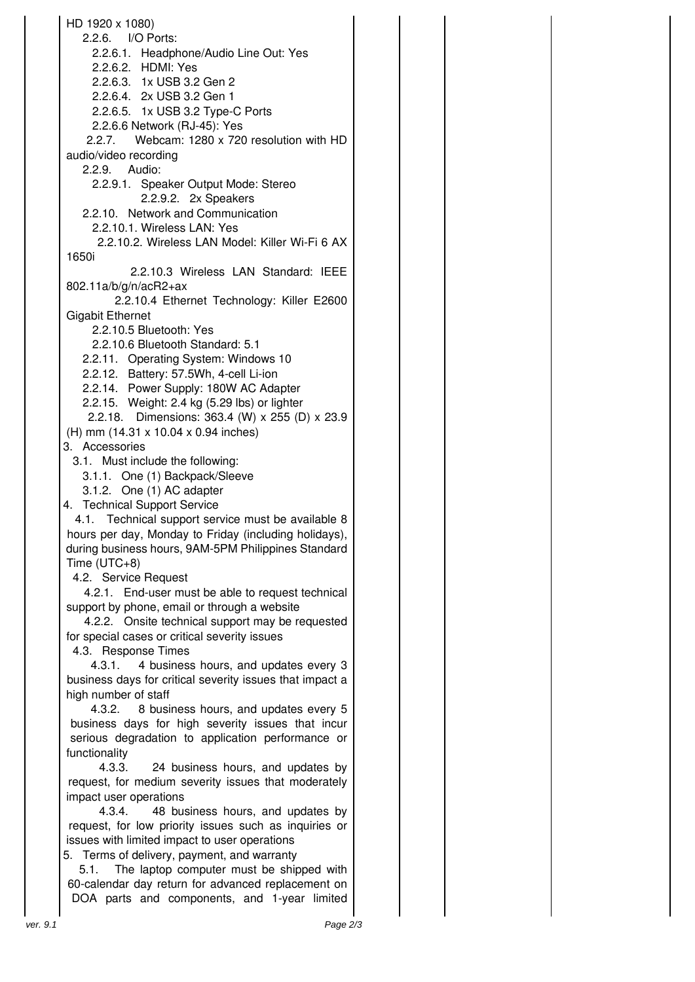HD 1920 x 1080) 2.2.6. I/O Ports: 2.2.6.1. Headphone/Audio Line Out: Yes 2.2.6.2. HDMI: Yes 2.2.6.3. 1x USB 3.2 Gen 2 2.2.6.4. 2x USB 3.2 Gen 1 2.2.6.5. 1x USB 3.2 Type-C Ports 2.2.6.6 Network (RJ-45): Yes 2.2.7. Webcam: 1280 x 720 resolution with HD audio/video recording 2.2.9. Audio: 2.2.9.1. Speaker Output Mode: Stereo 2.2.9.2. 2x Speakers 2.2.10. Network and Communication 2.2.10.1. Wireless LAN: Yes 2.2.10.2. Wireless LAN Model: Killer Wi-Fi 6 AX 1650i 2.2.10.3 Wireless LAN Standard: IEEE 802.11a/b/g/n/acR2+ax 2.2.10.4 Ethernet Technology: Killer E2600 Gigabit Ethernet 2.2.10.5 Bluetooth: Yes 2.2.10.6 Bluetooth Standard: 5.1 2.2.11. Operating System: Windows 10 2.2.12. Battery: 57.5Wh, 4-cell Li-ion 2.2.14. Power Supply: 180W AC Adapter 2.2.15. Weight: 2.4 kg (5.29 lbs) or lighter 2.2.18. Dimensions: 363.4 (W) x 255 (D) x 23.9 (H) mm (14.31 x 10.04 x 0.94 inches) 3. Accessories 3.1. Must include the following: 3.1.1. One (1) Backpack/Sleeve 3.1.2. One (1) AC adapter 4. Technical Support Service 4.1. Technical support service must be available 8 hours per day, Monday to Friday (including holidays), during business hours, 9AM-5PM Philippines Standard Time (UTC+8) 4.2. Service Request 4.2.1. End-user must be able to request technical support by phone, email or through a website 4.2.2. Onsite technical support may be requested for special cases or critical severity issues 4.3. Response Times 4.3.1. 4 business hours, and updates every 3 business days for critical severity issues that impact a high number of staff 4.3.2. 8 business hours, and updates every 5 business days for high severity issues that incur serious degradation to application performance or functionality 4.3.3. 24 business hours, and updates by request, for medium severity issues that moderately impact user operations 4.3.4. 48 business hours, and updates by request, for low priority issues such as inquiries or issues with limited impact to user operations 5. Terms of delivery, payment, and warranty 5.1. The laptop computer must be shipped with 60-calendar day return for advanced replacement on DOA parts and components, and 1-year limited